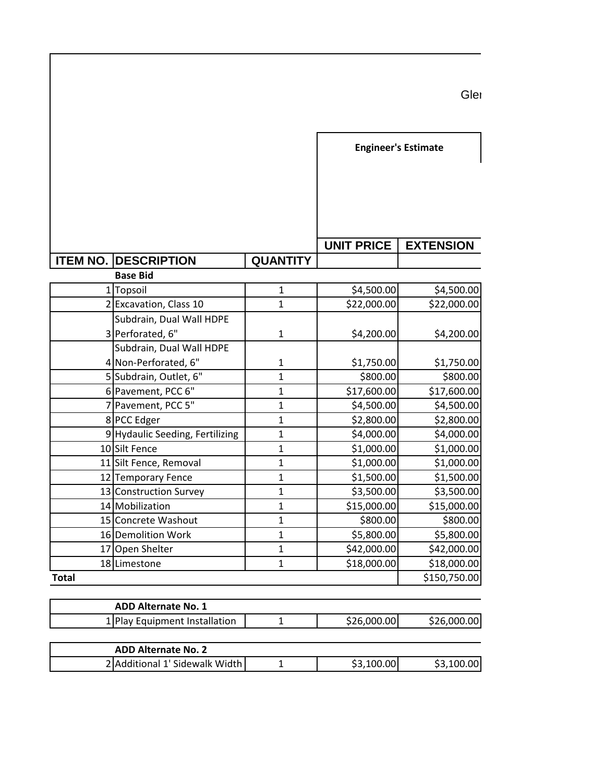|                 |                                                              |                 | <b>Engineer's Estimate</b> |                           |
|-----------------|--------------------------------------------------------------|-----------------|----------------------------|---------------------------|
|                 |                                                              |                 | <b>UNIT PRICE</b>          | <b>EXTENSION</b>          |
| <b>ITEM NO.</b> | <b>DESCRIPTION</b>                                           | <b>QUANTITY</b> |                            |                           |
|                 | <b>Base Bid</b>                                              | $\mathbf{1}$    |                            |                           |
|                 | 1 Topsoil<br>2 Excavation, Class 10                          | $\mathbf{1}$    | \$4,500.00<br>\$22,000.00  | \$4,500.00<br>\$22,000.00 |
|                 | Subdrain, Dual Wall HDPE                                     |                 |                            |                           |
|                 | 3 Perforated, 6"                                             | $\mathbf{1}$    | \$4,200.00                 | \$4,200.00                |
|                 | Subdrain, Dual Wall HDPE                                     |                 |                            |                           |
|                 | 4 Non-Perforated, 6"                                         | $\mathbf{1}$    | \$1,750.00                 | \$1,750.00                |
|                 | 5 Subdrain, Outlet, 6"                                       | $\mathbf{1}$    | \$800.00                   | \$800.00                  |
|                 | 6 Pavement, PCC 6"                                           | $\mathbf{1}$    | \$17,600.00                | \$17,600.00               |
|                 | 7 Pavement, PCC 5"                                           | $\mathbf{1}$    | \$4,500.00                 | \$4,500.00                |
|                 | 8 PCC Edger                                                  | $\mathbf{1}$    | \$2,800.00                 | \$2,800.00                |
|                 | 9 Hydaulic Seeding, Fertilizing                              | $\mathbf{1}$    | \$4,000.00                 | \$4,000.00                |
|                 | 10 Silt Fence                                                | $\mathbf{1}$    | \$1,000.00                 | \$1,000.00                |
|                 | 11 Silt Fence, Removal                                       | $\mathbf{1}$    | \$1,000.00                 | \$1,000.00                |
|                 | 12 Temporary Fence                                           | $\mathbf{1}$    | \$1,500.00                 | \$1,500.00                |
|                 | 13 Construction Survey                                       | $\mathbf{1}$    | \$3,500.00                 | \$3,500.00                |
|                 | 14 Mobilization                                              | $\mathbf{1}$    | \$15,000.00                | \$15,000.00               |
|                 | 15 Concrete Washout                                          | $\mathbf{1}$    | \$800.00                   | \$800.00                  |
|                 | 16 Demolition Work                                           | $\mathbf{1}$    | \$5,800.00                 | \$5,800.00                |
|                 | 17 Open Shelter                                              | $\mathbf{1}$    | \$42,000.00                | \$42,000.00               |
|                 | 18 Limestone                                                 | $\mathbf{1}$    | \$18,000.00                | \$18,000.00               |
| <b>Total</b>    |                                                              |                 |                            | \$150,750.00              |
|                 |                                                              |                 |                            |                           |
|                 | <b>ADD Alternate No. 1</b>                                   |                 |                            |                           |
|                 | 1 Play Equipment Installation                                | $\mathbf{1}$    | \$26,000.00                | \$26,000.00               |
|                 |                                                              |                 |                            |                           |
|                 | <b>ADD Alternate No. 2</b><br>2 Additional 1' Sidewalk Width | $\mathbf 1$     | \$3,100.00                 | \$3,100.00                |
|                 |                                                              |                 |                            |                           |

Glen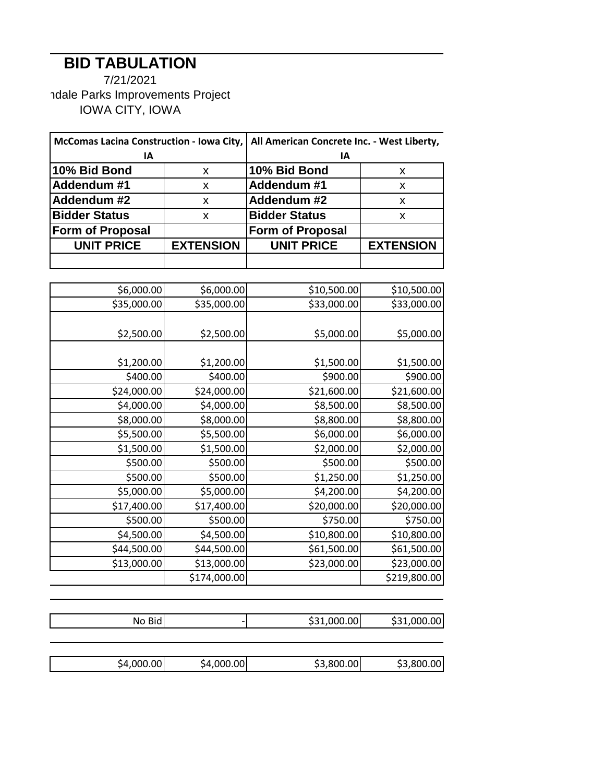## **BID TABULATION**

7/21/2021 ndale Parks Improvements Project IOWA CITY, IOWA

| McComas Lacina Construction - Iowa City, |                  | All American Concrete Inc. - West Liberty, |                  |
|------------------------------------------|------------------|--------------------------------------------|------------------|
| ΙA                                       |                  | ΙA                                         |                  |
| 10% Bid Bond                             | X                | 10% Bid Bond                               | x                |
| Addendum #1                              | X                | Addendum #1                                | x                |
| Addendum #2                              | X                | Addendum #2                                | x                |
| <b>Bidder Status</b>                     | X                | <b>Bidder Status</b>                       | x                |
| <b>Form of Proposal</b>                  |                  | <b>Form of Proposal</b>                    |                  |
| <b>UNIT PRICE</b>                        | <b>EXTENSION</b> | <b>UNIT PRICE</b>                          | <b>EXTENSION</b> |
|                                          |                  |                                            |                  |

| \$6,000.00<br>\$6,000.00<br>\$10,500.00<br>\$10,500.00<br>\$35,000.00<br>\$33,000.00<br>\$35,000.00<br>\$33,000.00 |  |
|--------------------------------------------------------------------------------------------------------------------|--|
|                                                                                                                    |  |
|                                                                                                                    |  |
|                                                                                                                    |  |
| \$2,500.00<br>\$2,500.00<br>\$5,000.00<br>\$5,000.00                                                               |  |
|                                                                                                                    |  |
| \$1,200.00<br>\$1,500.00<br>\$1,200.00<br>\$1,500.00                                                               |  |
| \$400.00<br>\$400.00<br>\$900.00<br>\$900.00                                                                       |  |
| \$24,000.00<br>\$24,000.00<br>\$21,600.00<br>\$21,600.00                                                           |  |
| \$4,000.00<br>\$4,000.00<br>\$8,500.00<br>\$8,500.00                                                               |  |
| \$8,000.00<br>\$8,000.00<br>\$8,800.00<br>\$8,800.00                                                               |  |
| \$5,500.00<br>\$5,500.00<br>\$6,000.00<br>\$6,000.00                                                               |  |
| \$1,500.00<br>\$1,500.00<br>\$2,000.00<br>\$2,000.00                                                               |  |
| \$500.00<br>\$500.00<br>\$500.00<br>\$500.00                                                                       |  |
| \$500.00<br>\$500.00<br>\$1,250.00<br>\$1,250.00                                                                   |  |
| \$5,000.00<br>\$5,000.00<br>\$4,200.00<br>\$4,200.00                                                               |  |
| \$17,400.00<br>\$17,400.00<br>\$20,000.00<br>\$20,000.00                                                           |  |
| \$500.00<br>\$750.00<br>\$750.00<br>\$500.00                                                                       |  |
| \$4,500.00<br>\$4,500.00<br>\$10,800.00<br>\$10,800.00                                                             |  |
| \$44,500.00<br>\$44,500.00<br>\$61,500.00<br>\$61,500.00                                                           |  |
| \$13,000.00<br>\$13,000.00<br>\$23,000.00<br>\$23,000.00                                                           |  |
| \$174,000.00<br>\$219,800.00                                                                                       |  |

| No Bid | \$31,000.00 | \$31,000.00 |
|--------|-------------|-------------|

| 00 l<br>- 4<br>. ( )( )( ). | 00 <sub>1</sub><br>.OOC<br>۰Д | .00<br>חרצ | .00<br><u>л.</u> |
|-----------------------------|-------------------------------|------------|------------------|
|                             |                               |            |                  |